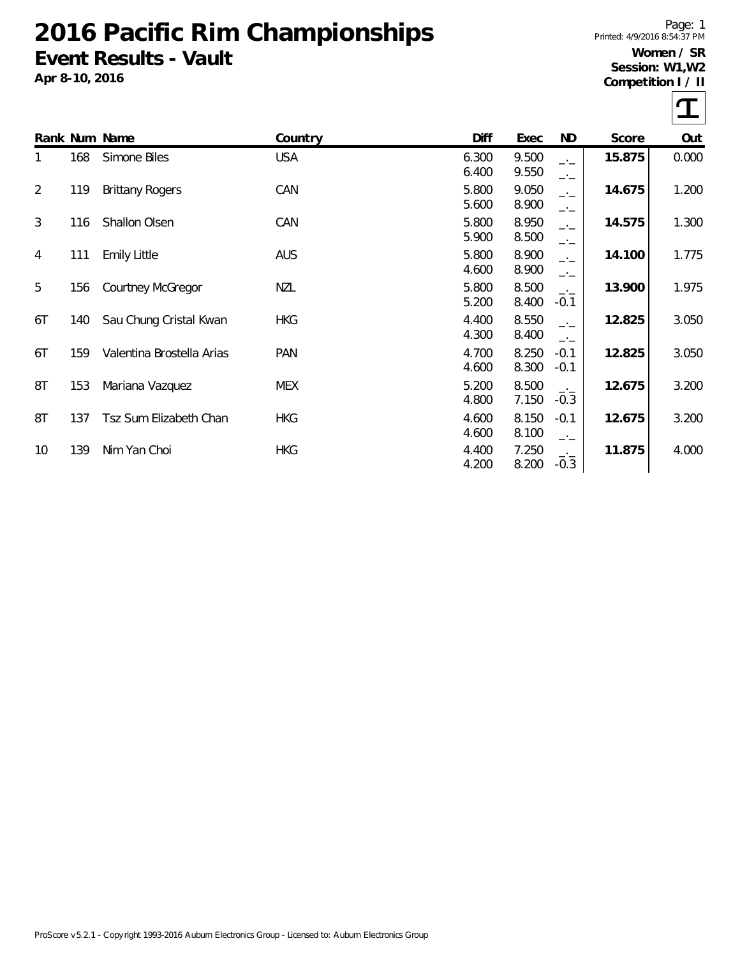## **2016 Pacific Rim Championships Event Results - Vault**

**Apr 8-10, 2016**

Page: 1 Printed: 4/9/2016 8:54:37 PM **Women / SR Session: W1,W2**

**Competition I / II**

T

|                |     | Rank Num Name             | Country    | Diff           | Exec           | ND                               | Score  | Out   |
|----------------|-----|---------------------------|------------|----------------|----------------|----------------------------------|--------|-------|
| 1              | 168 | Simone Biles              | <b>USA</b> | 6.300<br>6.400 | 9.500<br>9.550 | $\overline{\phantom{a}}$<br>$-1$ | 15.875 | 0.000 |
| $\overline{2}$ | 119 | <b>Brittany Rogers</b>    | CAN        | 5.800<br>5.600 | 9.050<br>8.900 | $-1$<br>$-1$                     | 14.675 | 1.200 |
| 3              | 116 | Shallon Olsen             | CAN        | 5.800<br>5.900 | 8.950<br>8.500 | $-1$<br>$-1$                     | 14.575 | 1.300 |
| 4              | 111 | <b>Emily Little</b>       | <b>AUS</b> | 5.800<br>4.600 | 8.900<br>8.900 | $-1$<br>$-1$                     | 14.100 | 1.775 |
| 5              | 156 | <b>Courtney McGregor</b>  | NZL        | 5.800<br>5.200 | 8.500<br>8.400 | $-1$<br>$-0.1$                   | 13.900 | 1.975 |
| 6T             | 140 | Sau Chung Cristal Kwan    | <b>HKG</b> | 4.400<br>4.300 | 8.550<br>8.400 | $\overline{\phantom{a}}$<br>$-1$ | 12.825 | 3.050 |
| 6T             | 159 | Valentina Brostella Arias | <b>PAN</b> | 4.700<br>4.600 | 8.250<br>8.300 | $-0.1$<br>$-0.1$                 | 12.825 | 3.050 |
| 8T             | 153 | Mariana Vazquez           | <b>MEX</b> | 5.200<br>4.800 | 8.500<br>7.150 | $-1$<br>$-0.3$                   | 12.675 | 3.200 |
| 8T             | 137 | Tsz Sum Elizabeth Chan    | <b>HKG</b> | 4.600<br>4.600 | 8.150<br>8.100 | $-0.1$<br>$-1$                   | 12.675 | 3.200 |
| 10             | 139 | Nim Yan Choi              | <b>HKG</b> | 4.400<br>4.200 | 7.250<br>8.200 | $-1$<br>$-0.3$                   | 11.875 | 4.000 |
|                |     |                           |            |                |                |                                  |        |       |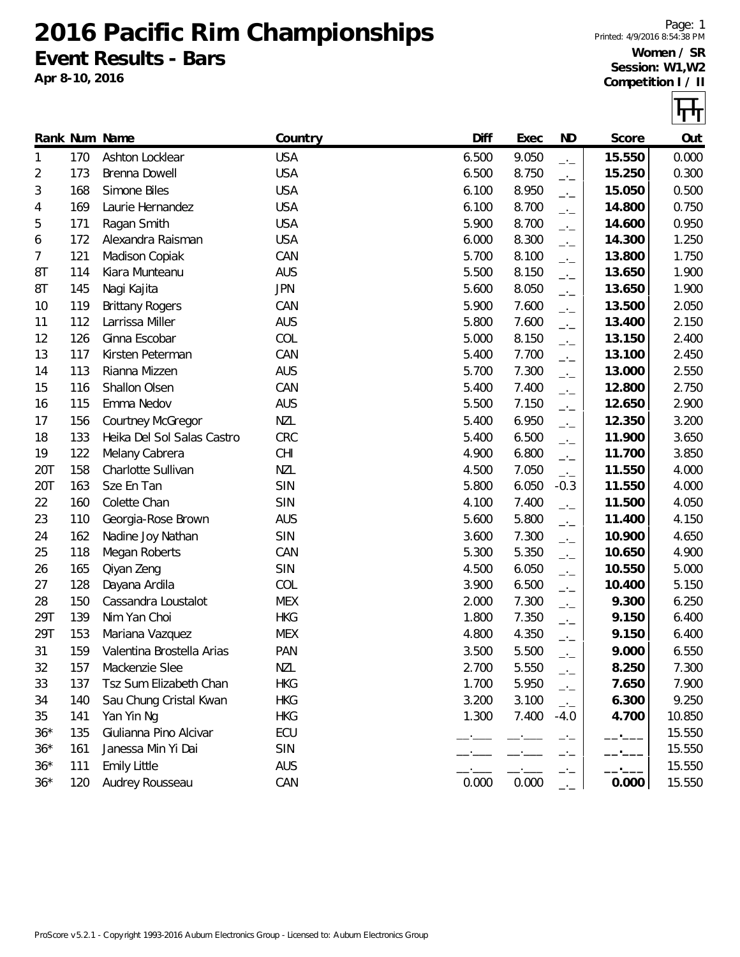**2016 Pacific Rim Championships Event Results - Bars**

**Apr 8-10, 2016**

Page: 1 Printed: 4/9/2016 8:54:38 PM **Women / SR Session: W1,W2 Competition I / II**

|       |     | Rank Num Name              | Country    | Diff  | Exec  | <b>ND</b>                | Score  | Out    |
|-------|-----|----------------------------|------------|-------|-------|--------------------------|--------|--------|
| 1     | 170 | Ashton Locklear            | <b>USA</b> | 6.500 | 9.050 | $-1$                     | 15.550 | 0.000  |
| 2     | 173 | Brenna Dowell              | <b>USA</b> | 6.500 | 8.750 | $-1$                     | 15.250 | 0.300  |
| 3     | 168 | Simone Biles               | <b>USA</b> | 6.100 | 8.950 | $-1$                     | 15.050 | 0.500  |
| 4     | 169 | Laurie Hernandez           | <b>USA</b> | 6.100 | 8.700 | $-1$                     | 14.800 | 0.750  |
| 5     | 171 | Ragan Smith                | <b>USA</b> | 5.900 | 8.700 | $-1$                     | 14.600 | 0.950  |
| 6     | 172 | Alexandra Raisman          | <b>USA</b> | 6.000 | 8.300 | $-1$                     | 14.300 | 1.250  |
| 7     | 121 | Madison Copiak             | CAN        | 5.700 | 8.100 | $-1$                     | 13.800 | 1.750  |
| 8T    | 114 | Kiara Munteanu             | <b>AUS</b> | 5.500 | 8.150 | $\overline{\phantom{a}}$ | 13.650 | 1.900  |
| 8T    | 145 | Nagi Kajita                | <b>JPN</b> | 5.600 | 8.050 | $\overline{a}$           | 13.650 | 1.900  |
| 10    | 119 | <b>Brittany Rogers</b>     | CAN        | 5.900 | 7.600 | $\overline{\phantom{a}}$ | 13.500 | 2.050  |
| 11    | 112 | Larrissa Miller            | <b>AUS</b> | 5.800 | 7.600 | $-1$                     | 13.400 | 2.150  |
| 12    | 126 | Ginna Escobar              | COL        | 5.000 | 8.150 | $\overline{\phantom{a}}$ | 13.150 | 2.400  |
| 13    | 117 | Kirsten Peterman           | CAN        | 5.400 | 7.700 | $-1$                     | 13.100 | 2.450  |
| 14    | 113 | Rianna Mizzen              | <b>AUS</b> | 5.700 | 7.300 | $\overline{\phantom{a}}$ | 13.000 | 2.550  |
| 15    | 116 | Shallon Olsen              | CAN        | 5.400 | 7.400 | $-1$                     | 12.800 | 2.750  |
| 16    | 115 | Emma Nedov                 | <b>AUS</b> | 5.500 | 7.150 | $-1$                     | 12.650 | 2.900  |
| 17    | 156 | Courtney McGregor          | <b>NZL</b> | 5.400 | 6.950 | $-1$                     | 12.350 | 3.200  |
| 18    | 133 | Heika Del Sol Salas Castro | CRC        | 5.400 | 6.500 | $-1$                     | 11.900 | 3.650  |
| 19    | 122 | Melany Cabrera             | <b>CHI</b> | 4.900 | 6.800 | $-1$                     | 11.700 | 3.850  |
| 20T   | 158 | Charlotte Sullivan         | <b>NZL</b> | 4.500 | 7.050 | $-$                      | 11.550 | 4.000  |
| 20T   | 163 | Sze En Tan                 | SIN        | 5.800 | 6.050 | $-0.3$                   | 11.550 | 4.000  |
| 22    | 160 | Colette Chan               | SIN        | 4.100 | 7.400 | $-1$                     | 11.500 | 4.050  |
| 23    | 110 | Georgia-Rose Brown         | <b>AUS</b> | 5.600 | 5.800 | $-1$                     | 11.400 | 4.150  |
| 24    | 162 | Nadine Joy Nathan          | SIN        | 3.600 | 7.300 | $-1$                     | 10.900 | 4.650  |
| 25    | 118 | Megan Roberts              | CAN        | 5.300 | 5.350 | $\overline{\phantom{a}}$ | 10.650 | 4.900  |
| 26    | 165 | Qiyan Zeng                 | SIN        | 4.500 | 6.050 | $-1$                     | 10.550 | 5.000  |
| 27    | 128 | Dayana Ardila              | COL        | 3.900 | 6.500 | $-1$                     | 10.400 | 5.150  |
| 28    | 150 | Cassandra Loustalot        | <b>MEX</b> | 2.000 | 7.300 | $-1$                     | 9.300  | 6.250  |
| 29T   | 139 | Nim Yan Choi               | <b>HKG</b> | 1.800 | 7.350 | $\overline{\phantom{a}}$ | 9.150  | 6.400  |
| 29T   | 153 | Mariana Vazquez            | <b>MEX</b> | 4.800 | 4.350 | $-1$                     | 9.150  | 6.400  |
| 31    | 159 | Valentina Brostella Arias  | PAN        | 3.500 | 5.500 | $-1$                     | 9.000  | 6.550  |
| 32    | 157 | Mackenzie Slee             | <b>NZL</b> | 2.700 | 5.550 | — <sup>.</sup> —         | 8.250  | 7.300  |
| 33    | 137 | Tsz Sum Elizabeth Chan     | <b>HKG</b> | 1.700 | 5.950 | $-1$                     | 7.650  | 7.900  |
| 34    | 140 | Sau Chung Cristal Kwan     | <b>HKG</b> | 3.200 | 3.100 | $-1$                     | 6.300  | 9.250  |
| 35    | 141 | Yan Yin Ng                 | <b>HKG</b> | 1.300 | 7.400 | $-4.0$                   | 4.700  | 10.850 |
| $36*$ | 135 | Giulianna Pino Alcivar     | ECU        |       |       |                          |        | 15.550 |
| $36*$ | 161 | Janessa Min Yi Dai         | SIN        |       |       |                          |        | 15.550 |
| $36*$ | 111 | <b>Emily Little</b>        | <b>AUS</b> |       |       | —'—                      |        | 15.550 |
| $36*$ | 120 | Audrey Rousseau            | CAN        | 0.000 | 0.000 | $-1$                     | 0.000  | 15.550 |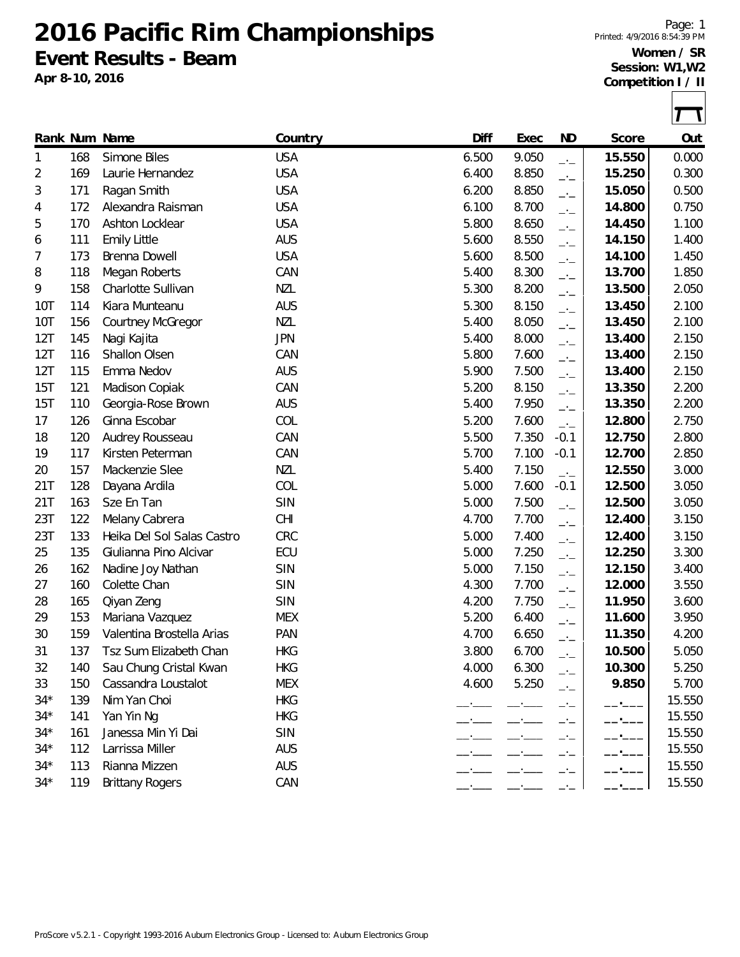**2016 Pacific Rim Championships**

**Event Results - Beam**

**Apr 8-10, 2016**

Page: 1 Printed: 4/9/2016 8:54:39 PM **Women / SR Session: W1,W2**

**Competition I / II**

|       |     | Rank Num Name              | Country    | Diff  | Exec  | <b>ND</b>                | Score  | Out    |
|-------|-----|----------------------------|------------|-------|-------|--------------------------|--------|--------|
| 1     | 168 | Simone Biles               | <b>USA</b> | 6.500 | 9.050 | $-1$                     | 15.550 | 0.000  |
| 2     | 169 | Laurie Hernandez           | <b>USA</b> | 6.400 | 8.850 | $-1$                     | 15.250 | 0.300  |
| 3     | 171 | Ragan Smith                | <b>USA</b> | 6.200 | 8.850 | $-1$                     | 15.050 | 0.500  |
| 4     | 172 | Alexandra Raisman          | <b>USA</b> | 6.100 | 8.700 | $-1$                     | 14.800 | 0.750  |
| 5     | 170 | Ashton Locklear            | <b>USA</b> | 5.800 | 8.650 | $-1$                     | 14.450 | 1.100  |
| 6     | 111 | <b>Emily Little</b>        | <b>AUS</b> | 5.600 | 8.550 | $-1$                     | 14.150 | 1.400  |
| 7     | 173 | Brenna Dowell              | <b>USA</b> | 5.600 | 8.500 | $-1$                     | 14.100 | 1.450  |
| 8     | 118 | Megan Roberts              | CAN        | 5.400 | 8.300 | $-1$                     | 13.700 | 1.850  |
| 9     | 158 | Charlotte Sullivan         | <b>NZL</b> | 5.300 | 8.200 | $\overline{a}$           | 13.500 | 2.050  |
| 10T   | 114 | Kiara Munteanu             | <b>AUS</b> | 5.300 | 8.150 | $-1$                     | 13.450 | 2.100  |
| 10T   | 156 | <b>Courtney McGregor</b>   | <b>NZL</b> | 5.400 | 8.050 | $-1$                     | 13.450 | 2.100  |
| 12T   | 145 | Nagi Kajita                | <b>JPN</b> | 5.400 | 8.000 | $-1$                     | 13.400 | 2.150  |
| 12T   | 116 | Shallon Olsen              | CAN        | 5.800 | 7.600 | $-1$                     | 13.400 | 2.150  |
| 12T   | 115 | Emma Nedov                 | <b>AUS</b> | 5.900 | 7.500 | $-1$                     | 13.400 | 2.150  |
| 15T   | 121 | Madison Copiak             | CAN        | 5.200 | 8.150 | $-1$                     | 13.350 | 2.200  |
| 15T   | 110 | Georgia-Rose Brown         | <b>AUS</b> | 5.400 | 7.950 | $\overline{a}$           | 13.350 | 2.200  |
| 17    | 126 | Ginna Escobar              | COL        | 5.200 | 7.600 | $-1$                     | 12.800 | 2.750  |
| 18    | 120 | Audrey Rousseau            | CAN        | 5.500 | 7.350 | $-0.1$                   | 12.750 | 2.800  |
| 19    | 117 | Kirsten Peterman           | CAN        | 5.700 | 7.100 | $-0.1$                   | 12.700 | 2.850  |
| 20    | 157 | Mackenzie Slee             | <b>NZL</b> | 5.400 | 7.150 | $\overline{\phantom{a}}$ | 12.550 | 3.000  |
| 21T   | 128 | Dayana Ardila              | COL        | 5.000 | 7.600 | $-0.1$                   | 12.500 | 3.050  |
| 21T   | 163 | Sze En Tan                 | SIN        | 5.000 | 7.500 | $-1$                     | 12.500 | 3.050  |
| 23T   | 122 | Melany Cabrera             | <b>CHI</b> | 4.700 | 7.700 | $-1$                     | 12.400 | 3.150  |
| 23T   | 133 | Heika Del Sol Salas Castro | CRC        | 5.000 | 7.400 | $-1$                     | 12.400 | 3.150  |
| 25    | 135 | Giulianna Pino Alcivar     | ECU        | 5.000 | 7.250 | $-1$                     | 12.250 | 3.300  |
| 26    | 162 | Nadine Joy Nathan          | SIN        | 5.000 | 7.150 | $-1$                     | 12.150 | 3.400  |
| 27    | 160 | Colette Chan               | SIN        | 4.300 | 7.700 | $-1$                     | 12.000 | 3.550  |
| 28    | 165 | Qiyan Zeng                 | SIN        | 4.200 | 7.750 | $-1$                     | 11.950 | 3.600  |
| 29    | 153 | Mariana Vazquez            | <b>MEX</b> | 5.200 | 6.400 | $-1$                     | 11.600 | 3.950  |
| 30    | 159 | Valentina Brostella Arias  | <b>PAN</b> | 4.700 | 6.650 | $-1$                     | 11.350 | 4.200  |
| 31    | 137 | Tsz Sum Elizabeth Chan     | <b>HKG</b> | 3.800 | 6.700 | $-1$                     | 10.500 | 5.050  |
| 32    | 140 | Sau Chung Cristal Kwan     | <b>HKG</b> | 4.000 | 6.300 | —'—                      | 10.300 | 5.250  |
| 33    | 150 | Cassandra Loustalot        | <b>MEX</b> | 4.600 | 5.250 | $ -$                     | 9.850  | 5.700  |
| $34*$ | 139 | Nim Yan Choi               | <b>HKG</b> |       |       | $ -$                     |        | 15.550 |
| $34*$ | 141 | Yan Yin Ng                 | <b>HKG</b> |       |       |                          |        | 15.550 |
| $34*$ | 161 | Janessa Min Yi Dai         | <b>SIN</b> |       |       |                          |        | 15.550 |
| $34*$ | 112 | Larrissa Miller            | <b>AUS</b> |       |       | - —                      |        | 15.550 |
| $34*$ | 113 | Rianna Mizzen              | <b>AUS</b> |       |       | —'—                      |        | 15.550 |
| $34*$ | 119 | <b>Brittany Rogers</b>     | CAN        |       |       |                          |        | 15.550 |